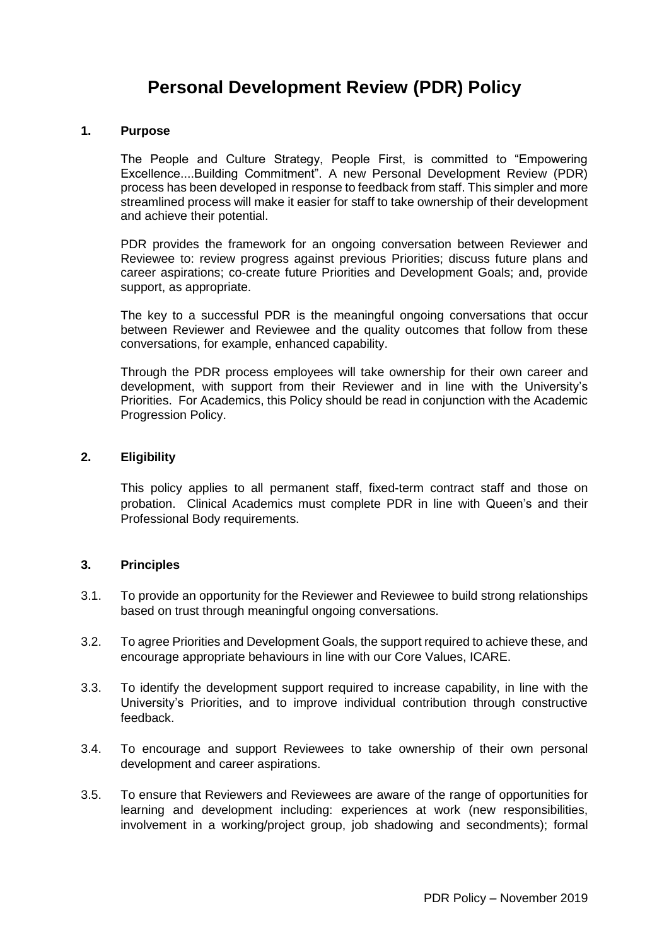# **Personal Development Review (PDR) Policy**

#### **1. Purpose**

The People and Culture Strategy, People First, is committed to "Empowering Excellence....Building Commitment". A new Personal Development Review (PDR) process has been developed in response to feedback from staff. This simpler and more streamlined process will make it easier for staff to take ownership of their development and achieve their potential.

PDR provides the framework for an ongoing conversation between Reviewer and Reviewee to: review progress against previous Priorities; discuss future plans and career aspirations; co-create future Priorities and Development Goals; and, provide support, as appropriate.

The key to a successful PDR is the meaningful ongoing conversations that occur between Reviewer and Reviewee and the quality outcomes that follow from these conversations, for example, enhanced capability.

Through the PDR process employees will take ownership for their own career and development, with support from their Reviewer and in line with the University's Priorities. For Academics, this Policy should be read in conjunction with the Academic Progression Policy.

#### **2. Eligibility**

This policy applies to all permanent staff, fixed-term contract staff and those on probation. Clinical Academics must complete PDR in line with Queen's and their Professional Body requirements.

#### **3. Principles**

- 3.1. To provide an opportunity for the Reviewer and Reviewee to build strong relationships based on trust through meaningful ongoing conversations.
- 3.2. To agree Priorities and Development Goals, the support required to achieve these, and encourage appropriate behaviours in line with our Core Values, ICARE.
- 3.3. To identify the development support required to increase capability, in line with the University's Priorities, and to improve individual contribution through constructive feedback.
- 3.4. To encourage and support Reviewees to take ownership of their own personal development and career aspirations.
- 3.5. To ensure that Reviewers and Reviewees are aware of the range of opportunities for learning and development including: experiences at work (new responsibilities, involvement in a working/project group, job shadowing and secondments); formal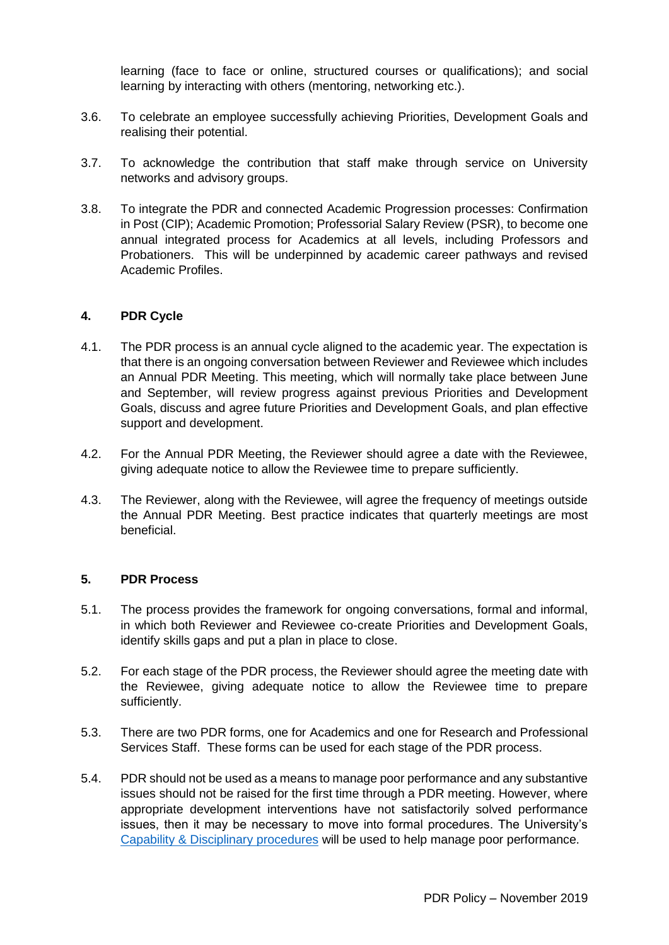learning (face to face or online, structured courses or qualifications); and social learning by interacting with others (mentoring, networking etc.).

- 3.6. To celebrate an employee successfully achieving Priorities, Development Goals and realising their potential.
- 3.7. To acknowledge the contribution that staff make through service on University networks and advisory groups.
- 3.8. To integrate the PDR and connected Academic Progression processes: Confirmation in Post (CIP); Academic Promotion; Professorial Salary Review (PSR), to become one annual integrated process for Academics at all levels, including Professors and Probationers. This will be underpinned by academic career pathways and revised Academic Profiles.

# **4. PDR Cycle**

- 4.1. The PDR process is an annual cycle aligned to the academic year. The expectation is that there is an ongoing conversation between Reviewer and Reviewee which includes an Annual PDR Meeting. This meeting, which will normally take place between June and September, will review progress against previous Priorities and Development Goals, discuss and agree future Priorities and Development Goals, and plan effective support and development.
- 4.2. For the Annual PDR Meeting, the Reviewer should agree a date with the Reviewee, giving adequate notice to allow the Reviewee time to prepare sufficiently.
- 4.3. The Reviewer, along with the Reviewee, will agree the frequency of meetings outside the Annual PDR Meeting. Best practice indicates that quarterly meetings are most beneficial.

# **5. PDR Process**

- 5.1. The process provides the framework for ongoing conversations, formal and informal, in which both Reviewer and Reviewee co-create Priorities and Development Goals, identify skills gaps and put a plan in place to close.
- 5.2. For each stage of the PDR process, the Reviewer should agree the meeting date with the Reviewee, giving adequate notice to allow the Reviewee time to prepare sufficiently.
- 5.3. There are two PDR forms, one for Academics and one for Research and Professional Services Staff. These forms can be used for each stage of the PDR process.
- 5.4. PDR should not be used as a means to manage poor performance and any substantive issues should not be raised for the first time through a PDR meeting. However, where appropriate development interventions have not satisfactorily solved performance issues, then it may be necessary to move into formal procedures. The University's [Capability & Disciplinary procedures](http://www.qub.ac.uk/directorates/HumanResources/workplace-conduct/) will be used to help manage poor performance.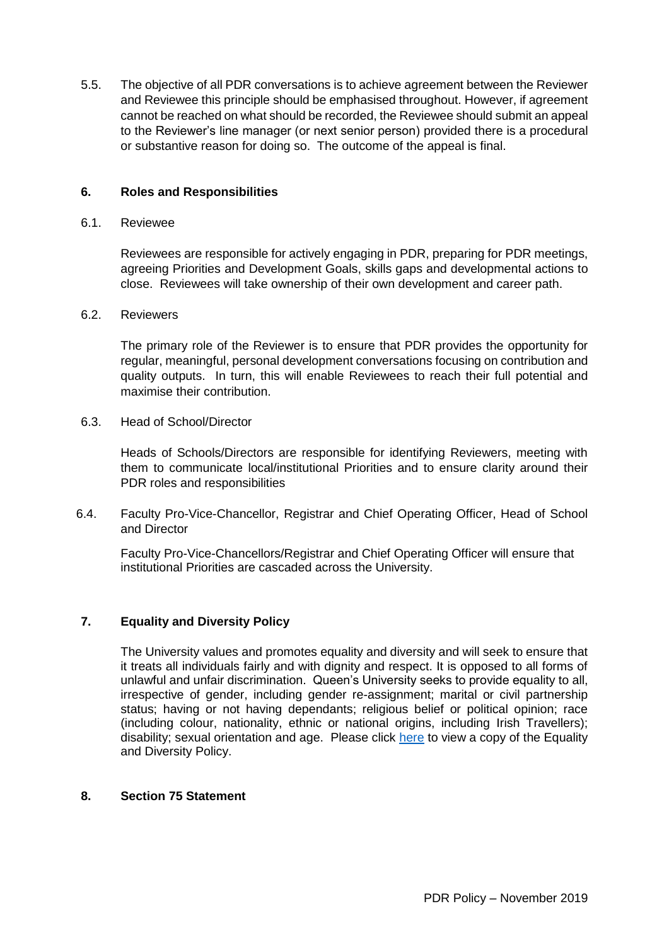5.5. The objective of all PDR conversations is to achieve agreement between the Reviewer and Reviewee this principle should be emphasised throughout. However, if agreement cannot be reached on what should be recorded, the Reviewee should submit an appeal to the Reviewer's line manager (or next senior person) provided there is a procedural or substantive reason for doing so. The outcome of the appeal is final.

# **6. Roles and Responsibilities**

#### 6.1. Reviewee

Reviewees are responsible for actively engaging in PDR, preparing for PDR meetings, agreeing Priorities and Development Goals, skills gaps and developmental actions to close. Reviewees will take ownership of their own development and career path.

### 6.2. Reviewers

The primary role of the Reviewer is to ensure that PDR provides the opportunity for regular, meaningful, personal development conversations focusing on contribution and quality outputs. In turn, this will enable Reviewees to reach their full potential and maximise their contribution.

6.3. Head of School/Director

Heads of Schools/Directors are responsible for identifying Reviewers, meeting with them to communicate local/institutional Priorities and to ensure clarity around their PDR roles and responsibilities

6.4. Faculty Pro-Vice-Chancellor, Registrar and Chief Operating Officer, Head of School and Director

Faculty Pro-Vice-Chancellors/Registrar and Chief Operating Officer will ensure that institutional Priorities are cascaded across the University.

# **7. Equality and Diversity Policy**

The University values and promotes equality and diversity and will seek to ensure that it treats all individuals fairly and with dignity and respect. It is opposed to all forms of unlawful and unfair discrimination. Queen's University seeks to provide equality to all, irrespective of gender, including gender re-assignment; marital or civil partnership status; having or not having dependants; religious belief or political opinion; race (including colour, nationality, ethnic or national origins, including Irish Travellers); disability; sexual orientation and age. Please click [here](http://www.qub.ac.uk/directorates/HumanResources/hr-filestore/Filetoupload,866894,en.pdf) to view a copy of the Equality and Diversity Policy.

### **8. Section 75 Statement**